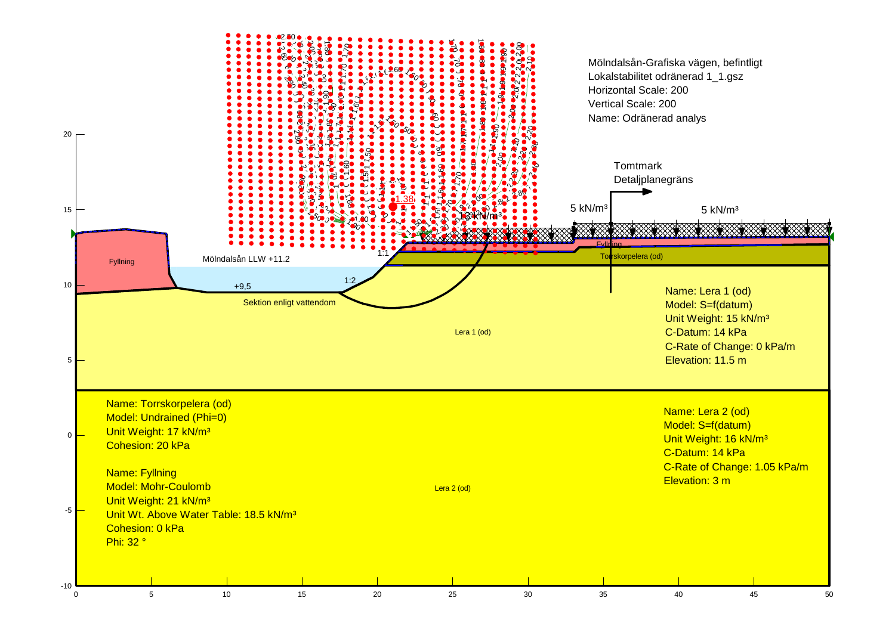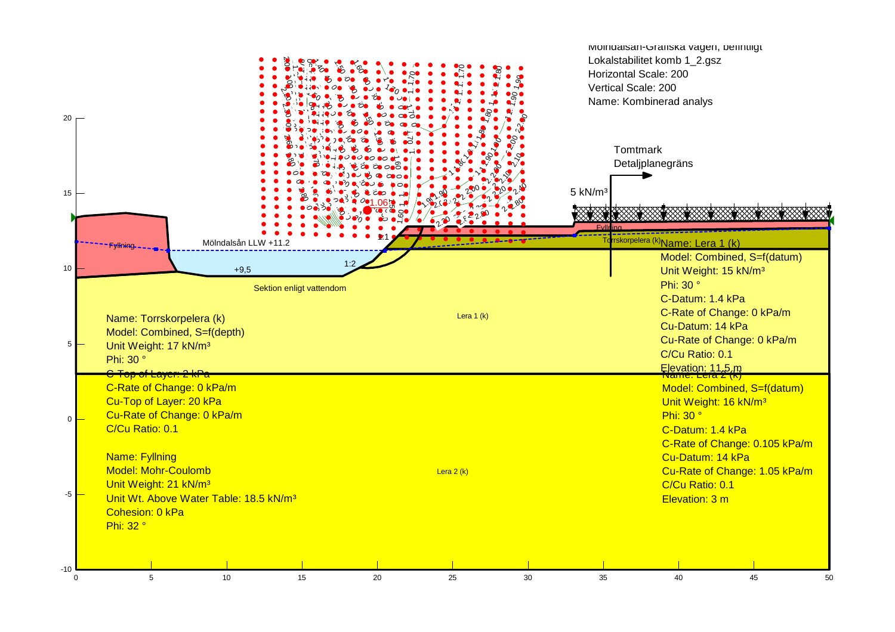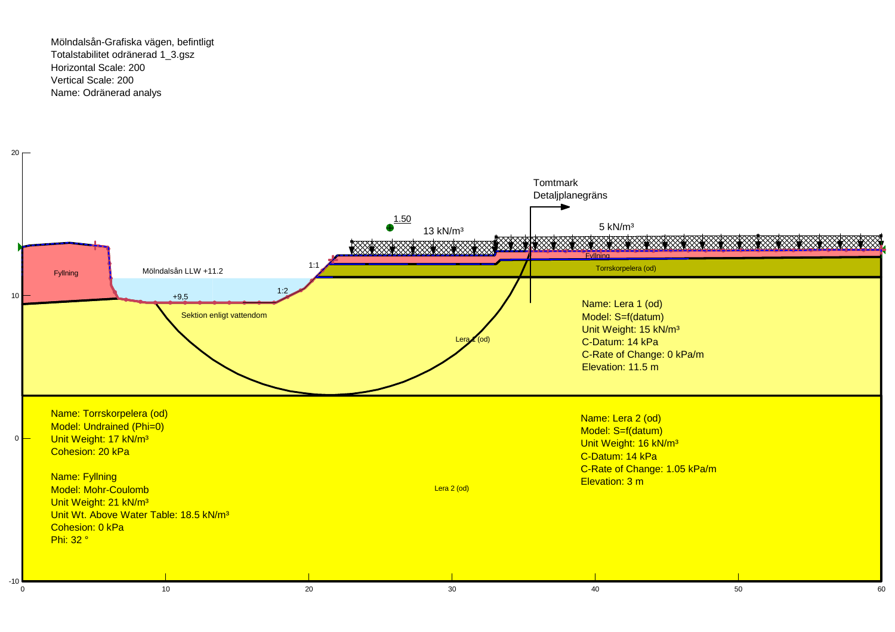Mölndalsån-Grafiska vägen, befintligtTotalstabilitet odränerad 1\_3.gszHorizontal Scale: 200Vertical Scale: 200Name: Odränerad analys

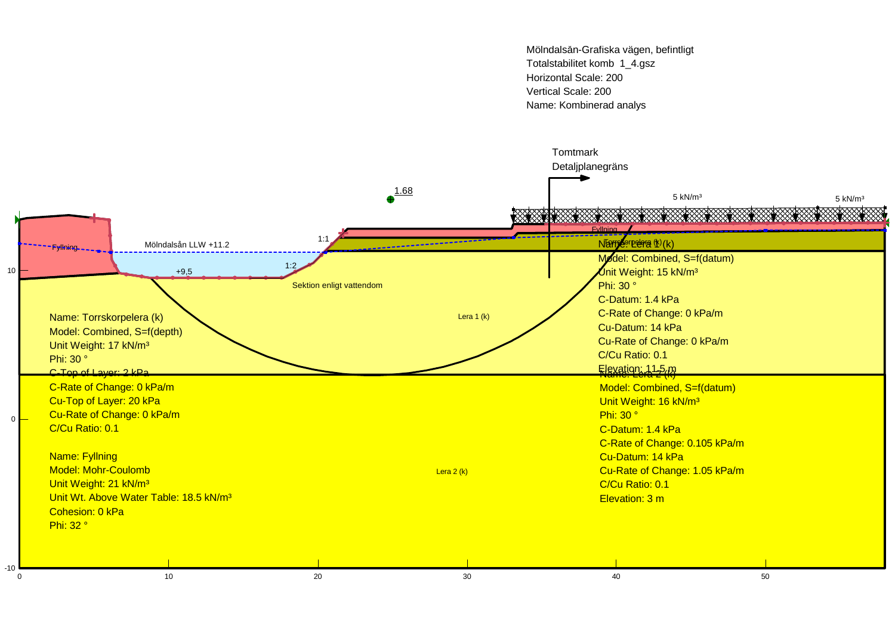Mölndalsån-Grafiska vägen, befintligtTotalstabilitet komb 1\_4.gszHorizontal Scale: 200Vertical Scale: 200Name: Kombinerad analys

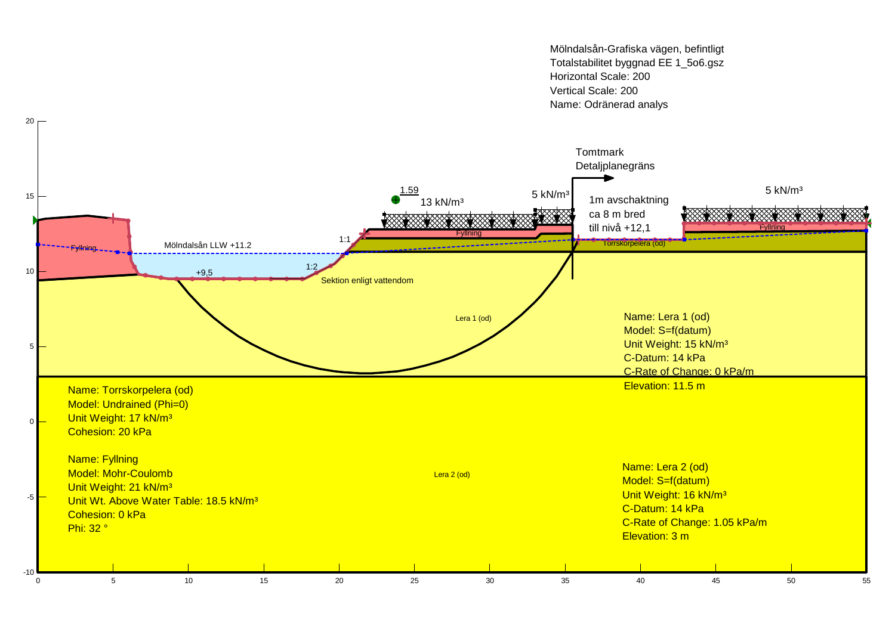Mölndalsån-Grafiska vägen, befintligt Totalstabilitet byggnad EE 1\_5o6.gszHorizontal Scale: 200Vertical Scale: 200Name: Odränerad analys